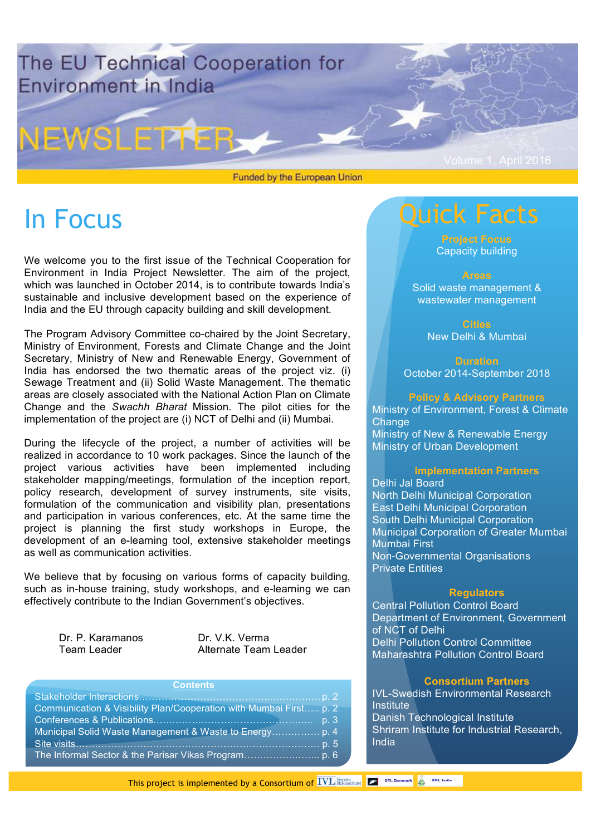

Funded by the European Union

# In Focus

We welcome you to the first issue of the Technical Cooperation for Environment in India Project Newsletter. The aim of the project, which was launched in October 2014, is to contribute towards India's sustainable and inclusive development based on the experience of India and the EU through capacity building and skill development.

The Program Advisory Committee co-chaired by the Joint Secretary, Ministry of Environment, Forests and Climate Change and the Joint Secretary, Ministry of New and Renewable Energy, Government of India has endorsed the two thematic areas of the project viz. (i) Sewage Treatment and (ii) Solid Waste Management. The thematic areas are closely associated with the National Action Plan on Climate Change and the *Swachh Bharat* Mission. The pilot cities for the implementation of the project are (i) NCT of Delhi and (ii) Mumbai.

During the lifecycle of the project, a number of activities will be realized in accordance to 10 work packages. Since the launch of the project various activities have been implemented including stakeholder mapping/meetings, formulation of the inception report, policy research, development of survey instruments, site visits, formulation of the communication and visibility plan, presentations and participation in various conferences, etc. At the same time the project is planning the first study workshops in Europe, the development of an e-learning tool, extensive stakeholder meetings as well as communication activities.

We believe that by focusing on various forms of capacity building, such as in-house training, study workshops, and e-learning we can effectively contribute to the Indian Government's objectives.

Dr. P. Karamanos Dr. V.K. Verma

Team Leader **Alternate Team Leader** 

| Contents <sup>1</sup>                                              |
|--------------------------------------------------------------------|
|                                                                    |
| Communication & Visibility Plan/Cooperation with Mumbai First p. 2 |
|                                                                    |
|                                                                    |
|                                                                    |
|                                                                    |

## Quick Facts

Capacity building

#### Areas

Solid waste management & wastewater management

> Cities New Delhi & Mumbai

**Duration** October 2014-September 2018

#### Policy & Advisory Partners

Ministry of Environment, Forest & Climate Change Ministry of New & Renewable Energy Ministry of Urban Development

#### Implementation Partners

Delhi Jal Board North Delhi Municipal Corporation East Delhi Municipal Corporation South Delhi Municipal Corporation Municipal Corporation of Greater Mumbai Mumbai First Non-Governmental Organisations Private Entities

#### **Requlators**

Central Pollution Control Board Department of Environment, Government of NCT of Delhi Delhi Pollution Control Committee Maharashtra Pollution Control Board

#### Consortium Partners

IVL-Swedish Environmental Research **Institute** Danish Technological Institute Shriram Institute for Industrial Research, India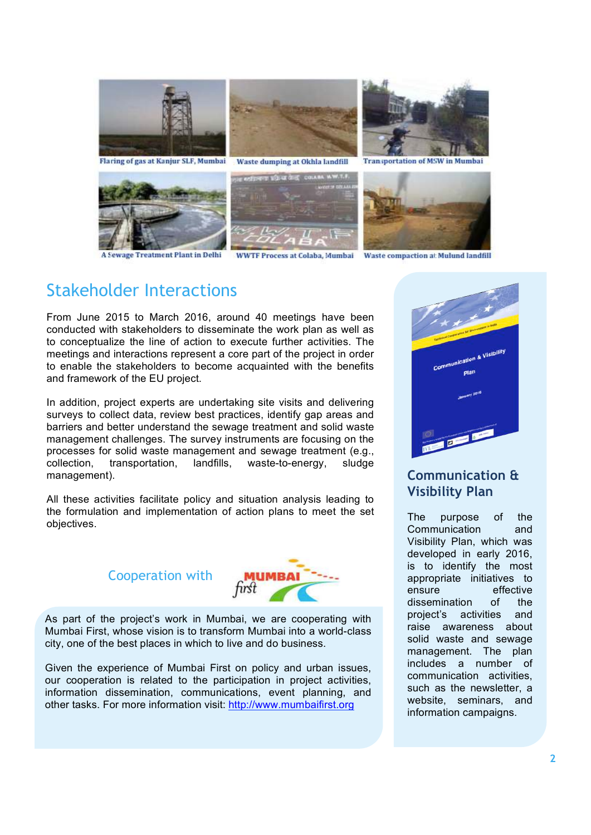

wage Treatment Plant in Delhi

**WWTF Process at Colaba, Mumbai Waste compaction at Mulund landfill** 

## Stakeholder Interactions

From June 2015 to March 2016, around 40 meetings have been conducted with stakeholders to disseminate the work plan as well as to conceptualize the line of action to execute further activities. The meetings and interactions represent a core part of the project in order to enable the stakeholders to become acquainted with the benefits and framework of the EU project.

In addition, project experts are undertaking site visits and delivering surveys to collect data, review best practices, identify gap areas and barriers and better understand the sewage treatment and solid waste management challenges. The survey instruments are focusing on the processes for solid waste management and sewage treatment (e.g., collection, transportation, landfills, waste-to-energy, sludge management).

All these activities facilitate policy and situation analysis leading to the formulation and implementation of action plans to meet the set objectives.

## Cooperation with



As part of the project's work in Mumbai, we are cooperating with Mumbai First, whose vision is to transform Mumbai into a world-class city, one of the best places in which to live and do business.

Given the experience of Mumbai First on policy and urban issues, our cooperation is related to the participation in project activities, information dissemination, communications, event planning, and other tasks. For more information visit: http://www.mumbaifirst.org



## Communication & Visibility Plan

The purpose of the Communication and Visibility Plan, which was developed in early 2016, is to identify the most appropriate initiatives to ensure effective dissemination of the project's activities and raise awareness about solid waste and sewage management. The plan includes a number of communication activities, such as the newsletter, a website, seminars, and information campaigns.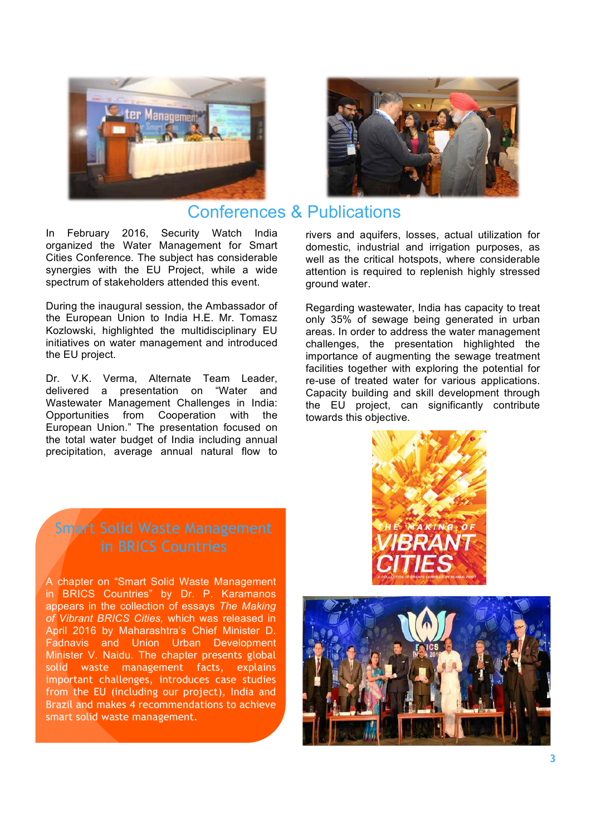



## Conferences & Publications

In February 2016, Security Watch India organized the Water Management for Smart Cities Conference. The subject has considerable synergies with the EU Project, while a wide spectrum of stakeholders attended this event.

During the inaugural session, the Ambassador of the European Union to India H.E. Mr. Tomasz Kozlowski, highlighted the multidisciplinary EU initiatives on water management and introduced the EU project.

Dr. V.K. Verma, Alternate Team Leader, delivered a presentation on "Water and Wastewater Management Challenges in India: Opportunities from Cooperation with the European Union." The presentation focused on the total water budget of India including annual precipitation, average annual natural flow to

rivers and aquifers, losses, actual utilization for domestic, industrial and irrigation purposes, as well as the critical hotspots, where considerable attention is required to replenish highly stressed ground water.

Regarding wastewater, India has capacity to treat only 35% of sewage being generated in urban areas. In order to address the water management challenges, the presentation highlighted the importance of augmenting the sewage treatment facilities together with exploring the potential for re-use of treated water for various applications. Capacity building and skill development through the EU project, can significantly contribute towards this objective.

# Smart Solid Waste Management

A chapter on "Smart Solid Waste Management in BRICS Countries" by Dr. P. Karamanos appears in the collection of essays *The Making of Vibrant BRICS Cities,* which was released in April 2016 by Maharashtra's Chief Minister D. Fadnavis and Union Urban Development Minister V. Naidu. The chapter presents global solid waste management facts, explains important challenges, introduces case studies from the EU (including our project), India and Brazil and makes 4 recommendations to achieve smart solid waste management.



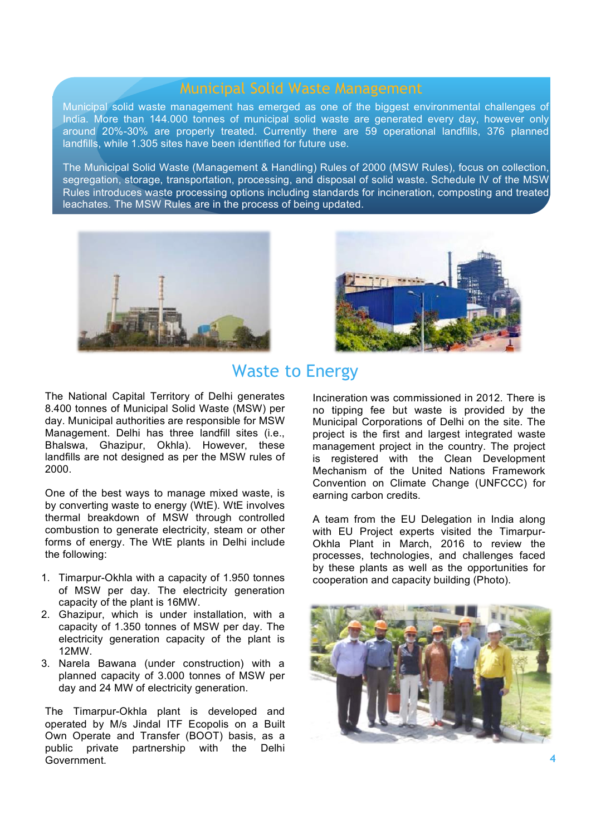Municipal solid waste management has emerged as one of the biggest environmental challenges of India. More than 144.000 tonnes of municipal solid waste are generated every day, however only around 20%-30% are properly treated. Currently there are 59 operational landfills, 376 planned landfills, while 1.305 sites have been identified for future use.

The Municipal Solid Waste (Management & Handling) Rules of 2000 (MSW Rules), focus on collection, segregation, storage, transportation, processing, and disposal of solid waste. Schedule IV of the MSW Rules introduces waste processing options including standards for incineration, composting and treated leachates. The MSW Rules are in the process of being updated.





## Waste to Energy

The National Capital Territory of Delhi generates 8.400 tonnes of Municipal Solid Waste (MSW) per day. Municipal authorities are responsible for MSW Management. Delhi has three landfill sites (i.e., Bhalswa, Ghazipur, Okhla). However, these landfills are not designed as per the MSW rules of 2000.

One of the best ways to manage mixed waste, is by converting waste to energy (WtE). WtE involves thermal breakdown of MSW through controlled combustion to generate electricity, steam or other forms of energy. The WtE plants in Delhi include the following:

- 1. Timarpur-Okhla with a capacity of 1.950 tonnes of MSW per day. The electricity generation capacity of the plant is 16MW.
- 2. Ghazipur, which is under installation, with a capacity of 1.350 tonnes of MSW per day. The electricity generation capacity of the plant is 12MW.
- 3. Narela Bawana (under construction) with a planned capacity of 3.000 tonnes of MSW per day and 24 MW of electricity generation.

The Timarpur-Okhla plant is developed and operated by M/s Jindal ITF Ecopolis on a Built Own Operate and Transfer (BOOT) basis, as a public private partnership with the Delhi Government.

Incineration was commissioned in 2012. There is no tipping fee but waste is provided by the Municipal Corporations of Delhi on the site. The project is the first and largest integrated waste management project in the country. The project is registered with the Clean Development Mechanism of the United Nations Framework Convention on Climate Change (UNFCCC) for earning carbon credits.

A team from the EU Delegation in India along with EU Project experts visited the Timarpur-Okhla Plant in March, 2016 to review the processes, technologies, and challenges faced by these plants as well as the opportunities for cooperation and capacity building (Photo).

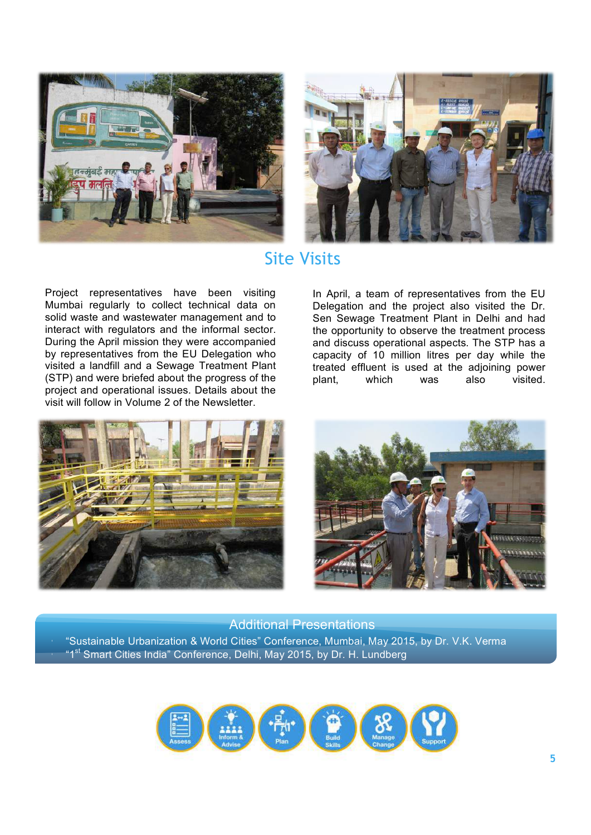



## Site Visits

Project representatives have been visiting Mumbai regularly to collect technical data on solid waste and wastewater management and to interact with regulators and the informal sector. During the April mission they were accompanied by representatives from the EU Delegation who visited a landfill and a Sewage Treatment Plant (STP) and were briefed about the progress of the project and operational issues. Details about the visit will follow in Volume 2 of the Newsletter.

In April, a team of representatives from the EU Delegation and the project also visited the Dr. Sen Sewage Treatment Plant in Delhi and had the opportunity to observe the treatment process and discuss operational aspects. The STP has a capacity of 10 million litres per day while the treated effluent is used at the adjoining power plant, which was also visited.





• "Sustainable Urbanization & World Cities" Conference, Mumbai, May 2015, by Dr. V.K. Verma <sup>"1st</sup> Smart Cities India" Conference, Delhi, May 2015, by Dr. H. Lundberg Additional Presentations